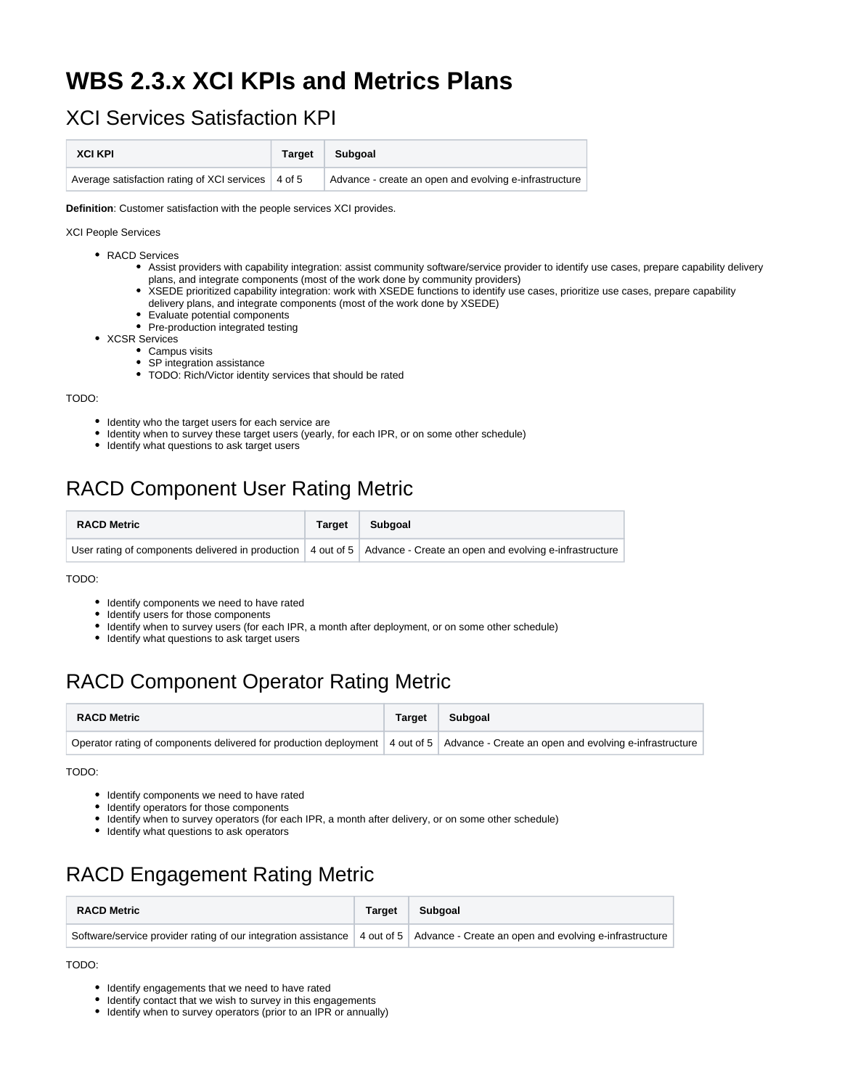# **WBS 2.3.x XCI KPIs and Metrics Plans**

#### XCI Services Satisfaction KPI

| <b>XCI KPI</b>                                       | <b>Target</b> | Subgoal                                                |
|------------------------------------------------------|---------------|--------------------------------------------------------|
| Average satisfaction rating of XCI services   4 of 5 |               | Advance - create an open and evolving e-infrastructure |

**Definition**: Customer satisfaction with the people services XCI provides.

XCI People Services

- RACD Services
	- Assist providers with capability integration: assist community software/service provider to identify use cases, prepare capability delivery plans, and integrate components (most of the work done by community providers)
	- XSEDE prioritized capability integration: work with XSEDE functions to identify use cases, prioritize use cases, prepare capability
	- delivery plans, and integrate components (most of the work done by XSEDE)
	- Evaluate potential components
	- Pre-production integrated testing
- XCSR Services
	- Campus visits • SP integration assistance
	-
	- TODO: Rich/Victor identity services that should be rated

TODO:

- Identity who the target users for each service are
- Identity when to survey these target users (yearly, for each IPR, or on some other schedule)
- Identify what questions to ask target users

### RACD Component User Rating Metric

| <b>RACD Metric</b> | <b>Target</b> | Subgoal                                                                                                                             |
|--------------------|---------------|-------------------------------------------------------------------------------------------------------------------------------------|
|                    |               | User rating of components delivered in production $\vert$ 4 out of 5 $\vert$ Advance - Create an open and evolving e-infrastructure |

TODO:

- $\bullet$  Identify components we need to have rated
- Identify users for those components
- Identify when to survey users (for each IPR, a month after deployment, or on some other schedule)
- Identify what questions to ask target users

# RACD Component Operator Rating Metric

| <b>RACD Metric</b>                                                                                                                  | <b>Target</b> | Subgoal |
|-------------------------------------------------------------------------------------------------------------------------------------|---------------|---------|
| Operator rating of components delivered for production deployment 4 out of 5 Advance - Create an open and evolving e-infrastructure |               |         |

TODO:

- Identify components we need to have rated
- Identify operators for those components
- Identify when to survey operators (for each IPR, a month after delivery, or on some other schedule)
- $\bullet$  Identify what questions to ask operators

## RACD Engagement Rating Metric

| <b>RACD Metric</b>                                                                                                                   | <b>Target</b> | Subgoal |
|--------------------------------------------------------------------------------------------------------------------------------------|---------------|---------|
| Software/service provider rating of our integration assistance   4 out of 5   Advance - Create an open and evolving e-infrastructure |               |         |

TODO:

- Identify engagements that we need to have rated
- Identify contact that we wish to survey in this engagements
- Identify when to survey operators (prior to an IPR or annually)